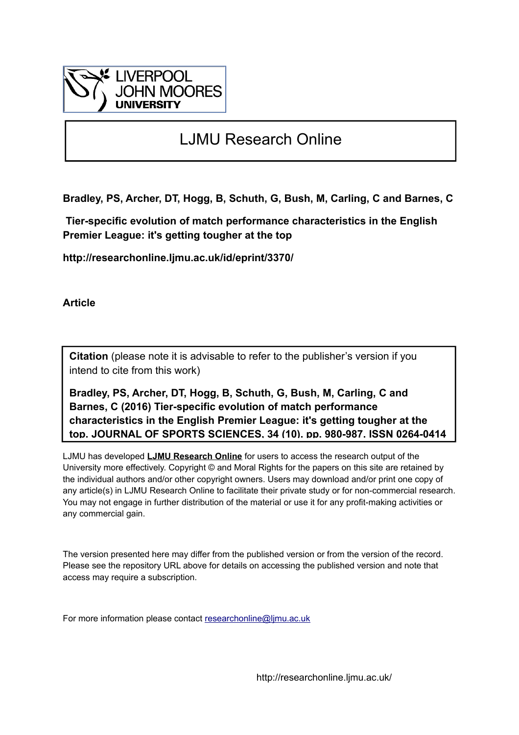

# LJMU Research Online

**Bradley, PS, Archer, DT, Hogg, B, Schuth, G, Bush, M, Carling, C and Barnes, C**

 **Tier-specific evolution of match performance characteristics in the English Premier League: it's getting tougher at the top**

**http://researchonline.ljmu.ac.uk/id/eprint/3370/**

**Article**

**Citation** (please note it is advisable to refer to the publisher's version if you intend to cite from this work)

**Bradley, PS, Archer, DT, Hogg, B, Schuth, G, Bush, M, Carling, C and Barnes, C (2016) Tier-specific evolution of match performance characteristics in the English Premier League: it's getting tougher at the top. JOURNAL OF SPORTS SCIENCES, 34 (10). pp. 980-987. ISSN 0264-0414**

LJMU has developed **[LJMU Research Online](http://researchonline.ljmu.ac.uk/)** for users to access the research output of the University more effectively. Copyright © and Moral Rights for the papers on this site are retained by the individual authors and/or other copyright owners. Users may download and/or print one copy of any article(s) in LJMU Research Online to facilitate their private study or for non-commercial research. You may not engage in further distribution of the material or use it for any profit-making activities or any commercial gain.

The version presented here may differ from the published version or from the version of the record. Please see the repository URL above for details on accessing the published version and note that access may require a subscription.

For more information please contact [researchonline@ljmu.ac.uk](mailto:researchonline@ljmu.ac.uk)

http://researchonline.ljmu.ac.uk/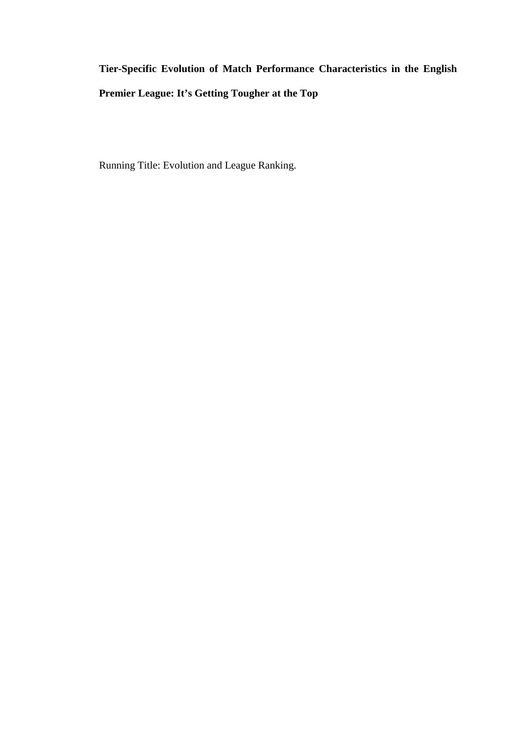# **Tier-Specific Evolution of Match Performance Characteristics in the English Premier League: It's Getting Tougher at the Top**

Running Title: Evolution and League Ranking.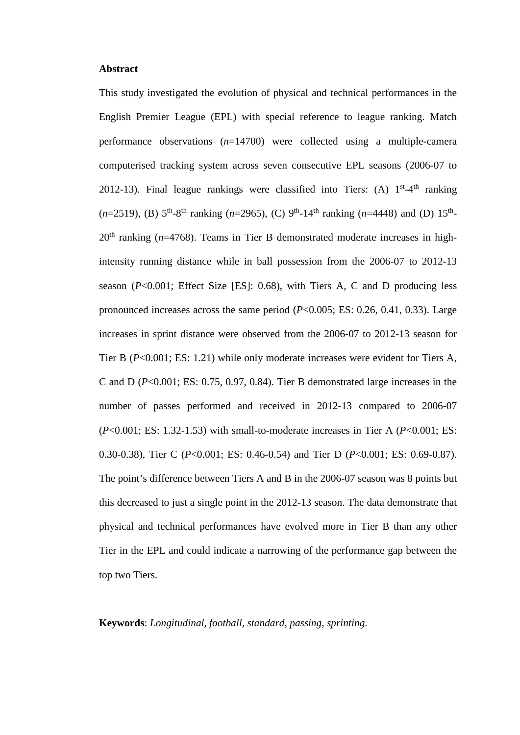#### **Abstract**

This study investigated the evolution of physical and technical performances in the English Premier League (EPL) with special reference to league ranking. Match performance observations (*n*=14700) were collected using a multiple-camera computerised tracking system across seven consecutive EPL seasons (2006-07 to 2012-13). Final league rankings were classified into Tiers: (A)  $1<sup>st</sup>-4<sup>th</sup>$  ranking  $(n=2519)$ , (B)  $5^{th}$ -8<sup>th</sup> ranking (*n*=2965), (C) 9<sup>th</sup>-14<sup>th</sup> ranking (*n*=4448) and (D) 15<sup>th</sup>- $20<sup>th</sup>$  ranking ( $n=4768$ ). Teams in Tier B demonstrated moderate increases in highintensity running distance while in ball possession from the 2006-07 to 2012-13 season (*P*<0.001; Effect Size [ES]: 0.68), with Tiers A, C and D producing less pronounced increases across the same period (*P*<0.005; ES: 0.26, 0.41, 0.33). Large increases in sprint distance were observed from the 2006-07 to 2012-13 season for Tier B (*P*<0.001; ES: 1.21) while only moderate increases were evident for Tiers A, C and D (*P*<0.001; ES: 0.75, 0.97, 0.84). Tier B demonstrated large increases in the number of passes performed and received in 2012-13 compared to 2006-07 (*P*<0.001; ES: 1.32-1.53) with small-to-moderate increases in Tier A (*P*<0.001; ES: 0.30-0.38), Tier C (*P*<0.001; ES: 0.46-0.54) and Tier D (*P*<0.001; ES: 0.69-0.87). The point's difference between Tiers A and B in the 2006-07 season was 8 points but this decreased to just a single point in the 2012-13 season. The data demonstrate that physical and technical performances have evolved more in Tier B than any other Tier in the EPL and could indicate a narrowing of the performance gap between the top two Tiers.

**Keywords**: *Longitudinal, football, standard, passing, sprinting*.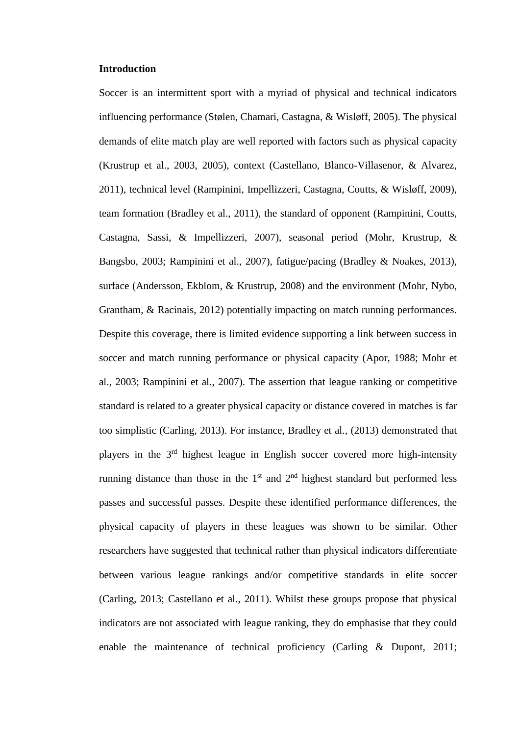#### **Introduction**

Soccer is an intermittent sport with a myriad of physical and technical indicators influencing performance (Stølen, Chamari, Castagna, & Wisløff, 2005). The physical demands of elite match play are well reported with factors such as physical capacity (Krustrup et al., 2003, 2005), context (Castellano, Blanco-Villasenor, & Alvarez, 2011), technical level (Rampinini, Impellizzeri, Castagna, Coutts, & Wisløff, 2009), team formation (Bradley et al., 2011), the standard of opponent (Rampinini, Coutts, Castagna, Sassi, & Impellizzeri, 2007), seasonal period (Mohr, Krustrup, & Bangsbo, 2003; Rampinini et al., 2007), fatigue/pacing (Bradley & Noakes, 2013), surface (Andersson, Ekblom, & Krustrup, 2008) and the environment (Mohr, Nybo, Grantham, & Racinais, 2012) potentially impacting on match running performances. Despite this coverage, there is limited evidence supporting a link between success in soccer and match running performance or physical capacity (Apor, 1988; Mohr et al., 2003; Rampinini et al., 2007). The assertion that league ranking or competitive standard is related to a greater physical capacity or distance covered in matches is far too simplistic (Carling, 2013). For instance, Bradley et al., (2013) demonstrated that players in the 3rd highest league in English soccer covered more high-intensity running distance than those in the  $1<sup>st</sup>$  and  $2<sup>nd</sup>$  highest standard but performed less passes and successful passes. Despite these identified performance differences, the physical capacity of players in these leagues was shown to be similar. Other researchers have suggested that technical rather than physical indicators differentiate between various league rankings and/or competitive standards in elite soccer (Carling, 2013; Castellano et al., 2011). Whilst these groups propose that physical indicators are not associated with league ranking, they do emphasise that they could enable the maintenance of technical proficiency (Carling & Dupont, 2011;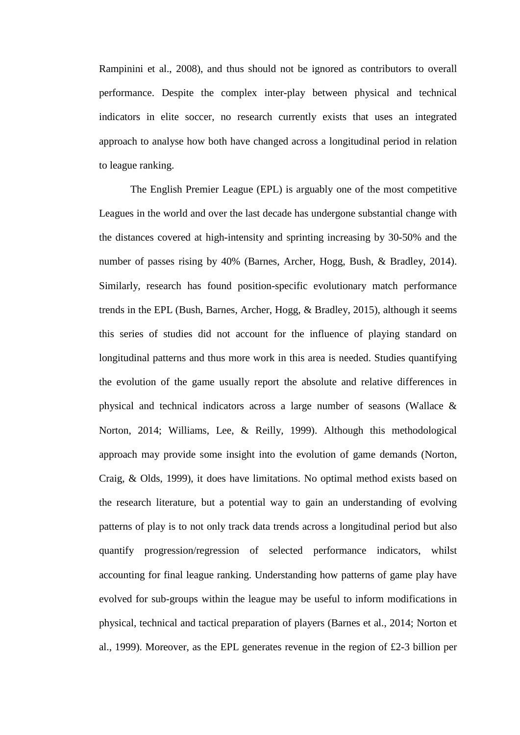Rampinini et al., 2008), and thus should not be ignored as contributors to overall performance. Despite the complex inter-play between physical and technical indicators in elite soccer, no research currently exists that uses an integrated approach to analyse how both have changed across a longitudinal period in relation to league ranking.

The English Premier League (EPL) is arguably one of the most competitive Leagues in the world and over the last decade has undergone substantial change with the distances covered at high-intensity and sprinting increasing by 30-50% and the number of passes rising by 40% (Barnes, Archer, Hogg, Bush, & Bradley, 2014). Similarly, research has found position-specific evolutionary match performance trends in the EPL (Bush, Barnes, Archer, Hogg, & Bradley, 2015), although it seems this series of studies did not account for the influence of playing standard on longitudinal patterns and thus more work in this area is needed. Studies quantifying the evolution of the game usually report the absolute and relative differences in physical and technical indicators across a large number of seasons (Wallace & Norton, 2014; Williams, Lee, & Reilly, 1999). Although this methodological approach may provide some insight into the evolution of game demands (Norton, Craig, & Olds, 1999), it does have limitations. No optimal method exists based on the research literature, but a potential way to gain an understanding of evolving patterns of play is to not only track data trends across a longitudinal period but also quantify progression/regression of selected performance indicators, whilst accounting for final league ranking. Understanding how patterns of game play have evolved for sub-groups within the league may be useful to inform modifications in physical, technical and tactical preparation of players (Barnes et al., 2014; Norton et al., 1999). Moreover, as the EPL generates revenue in the region of £2-3 billion per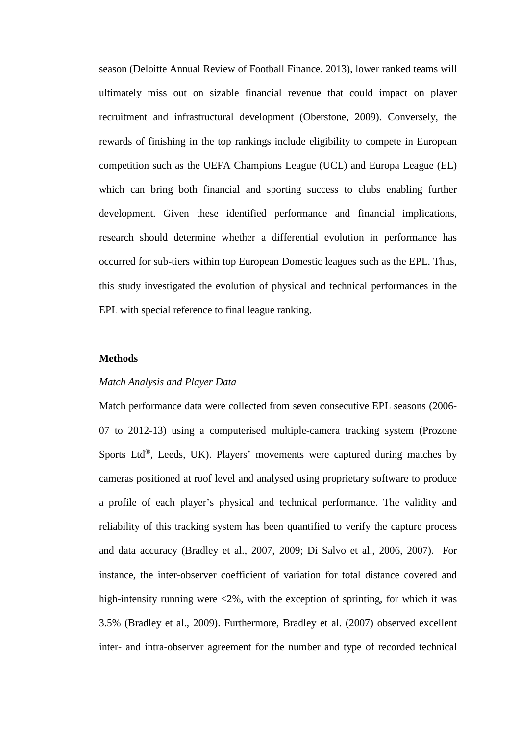season (Deloitte Annual Review of Football Finance, 2013), lower ranked teams will ultimately miss out on sizable financial revenue that could impact on player recruitment and infrastructural development (Oberstone, 2009). Conversely, the rewards of finishing in the top rankings include eligibility to compete in European competition such as the UEFA Champions League (UCL) and Europa League (EL) which can bring both financial and sporting success to clubs enabling further development. Given these identified performance and financial implications, research should determine whether a differential evolution in performance has occurred for sub-tiers within top European Domestic leagues such as the EPL. Thus, this study investigated the evolution of physical and technical performances in the EPL with special reference to final league ranking.

# **Methods**

#### *Match Analysis and Player Data*

Match performance data were collected from seven consecutive EPL seasons (2006- 07 to 2012-13) using a computerised multiple-camera tracking system (Prozone Sports Ltd<sup>®</sup>, Leeds, UK). Players' movements were captured during matches by cameras positioned at roof level and analysed using proprietary software to produce a profile of each player's physical and technical performance. The validity and reliability of this tracking system has been quantified to verify the capture process and data accuracy (Bradley et al., 2007, 2009; Di Salvo et al., 2006, 2007). For instance, the inter-observer coefficient of variation for total distance covered and high-intensity running were  $\langle 2\%$ , with the exception of sprinting, for which it was 3.5% (Bradley et al., 2009). Furthermore, Bradley et al. (2007) observed excellent inter- and intra-observer agreement for the number and type of recorded technical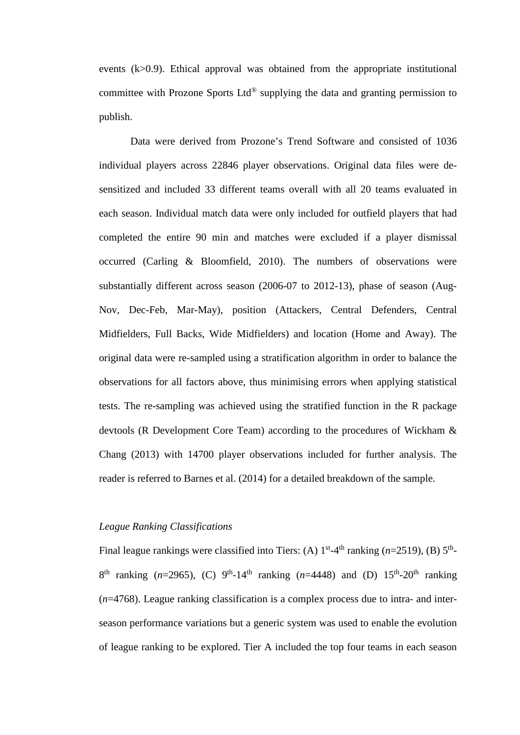events (k>0.9). Ethical approval was obtained from the appropriate institutional committee with Prozone Sports Ltd<sup>®</sup> supplying the data and granting permission to publish.

Data were derived from Prozone's Trend Software and consisted of 1036 individual players across 22846 player observations. Original data files were desensitized and included 33 different teams overall with all 20 teams evaluated in each season. Individual match data were only included for outfield players that had completed the entire 90 min and matches were excluded if a player dismissal occurred (Carling & Bloomfield, 2010). The numbers of observations were substantially different across season (2006-07 to 2012-13), phase of season (Aug-Nov, Dec-Feb, Mar-May), position (Attackers, Central Defenders, Central Midfielders, Full Backs, Wide Midfielders) and location (Home and Away). The original data were re-sampled using a stratification algorithm in order to balance the observations for all factors above, thus minimising errors when applying statistical tests. The re-sampling was achieved using the stratified function in the R package devtools (R Development Core Team) according to the procedures of Wickham & Chang (2013) with 14700 player observations included for further analysis. The reader is referred to Barnes et al. (2014) for a detailed breakdown of the sample.

#### *League Ranking Classifications*

Final league rankings were classified into Tiers: (A)  $1<sup>st</sup>$ -4<sup>th</sup> ranking (*n*=2519), (B)  $5<sup>th</sup>$ - $8^{th}$  ranking (*n*=2965), (C) 9<sup>th</sup>-14<sup>th</sup> ranking (*n*=4448) and (D) 15<sup>th</sup>-20<sup>th</sup> ranking (*n*=4768). League ranking classification is a complex process due to intra- and interseason performance variations but a generic system was used to enable the evolution of league ranking to be explored. Tier A included the top four teams in each season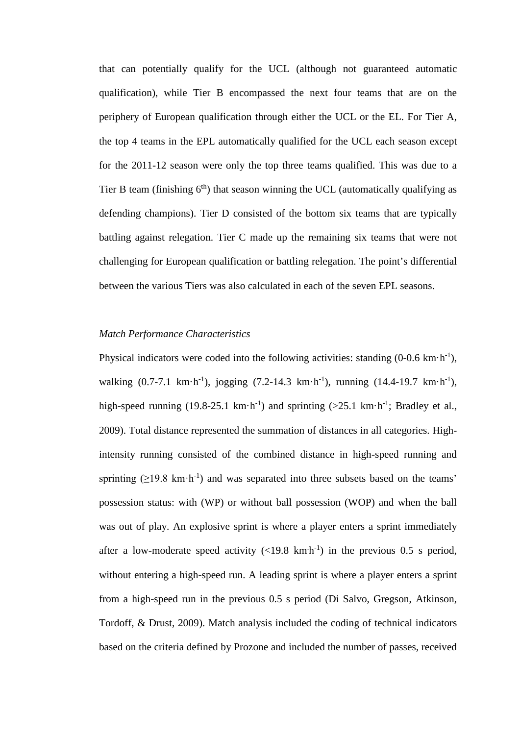that can potentially qualify for the UCL (although not guaranteed automatic qualification), while Tier B encompassed the next four teams that are on the periphery of European qualification through either the UCL or the EL. For Tier A, the top 4 teams in the EPL automatically qualified for the UCL each season except for the 2011-12 season were only the top three teams qualified. This was due to a Tier B team (finishing  $6<sup>th</sup>$ ) that season winning the UCL (automatically qualifying as defending champions). Tier D consisted of the bottom six teams that are typically battling against relegation. Tier C made up the remaining six teams that were not challenging for European qualification or battling relegation. The point's differential between the various Tiers was also calculated in each of the seven EPL seasons.

#### *Match Performance Characteristics*

Physical indicators were coded into the following activities: standing  $(0\n-0.6 \text{ km} \cdot \text{h}^{-1})$ , walking  $(0.7-7.1 \text{ km} \cdot \text{h}^{-1})$ , jogging  $(7.2-14.3 \text{ km} \cdot \text{h}^{-1})$ , running  $(14.4-19.7 \text{ km} \cdot \text{h}^{-1})$ , high-speed running (19.8-25.1 km·h<sup>-1</sup>) and sprinting (>25.1 km·h<sup>-1</sup>; Bradley et al., 2009). Total distance represented the summation of distances in all categories. Highintensity running consisted of the combined distance in high-speed running and sprinting  $(\geq 19.8 \text{ km} \cdot \text{h}^{-1})$  and was separated into three subsets based on the teams' possession status: with (WP) or without ball possession (WOP) and when the ball was out of play. An explosive sprint is where a player enters a sprint immediately after a low-moderate speed activity  $\left($ <19.8 km<sup>-1</sup>) in the previous 0.5 s period, without entering a high-speed run. A leading sprint is where a player enters a sprint from a high-speed run in the previous 0.5 s period (Di Salvo, Gregson, Atkinson, Tordoff, & Drust, 2009). Match analysis included the coding of technical indicators based on the criteria defined by Prozone and included the number of passes, received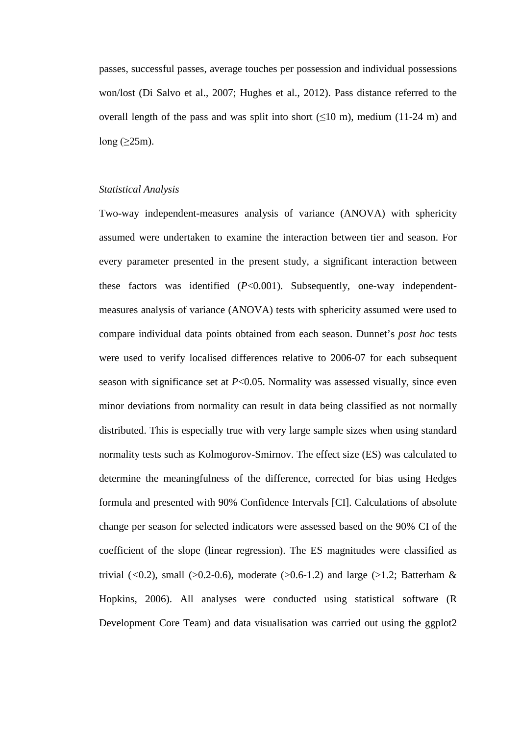passes, successful passes, average touches per possession and individual possessions won/lost (Di Salvo et al., 2007; Hughes et al., 2012). Pass distance referred to the overall length of the pass and was split into short  $(\leq 10 \text{ m})$ , medium (11-24 m) and long  $(>25m)$ .

## *Statistical Analysis*

Two-way independent-measures analysis of variance (ANOVA) with sphericity assumed were undertaken to examine the interaction between tier and season. For every parameter presented in the present study, a significant interaction between these factors was identified (*P*<0.001). Subsequently, one-way independentmeasures analysis of variance (ANOVA) tests with sphericity assumed were used to compare individual data points obtained from each season. Dunnet's *post hoc* tests were used to verify localised differences relative to 2006-07 for each subsequent season with significance set at *P*<0.05. Normality was assessed visually, since even minor deviations from normality can result in data being classified as not normally distributed. This is especially true with very large sample sizes when using standard normality tests such as Kolmogorov-Smirnov. The effect size (ES) was calculated to determine the meaningfulness of the difference, corrected for bias using Hedges formula and presented with 90% Confidence Intervals [CI]. Calculations of absolute change per season for selected indicators were assessed based on the 90% CI of the coefficient of the slope (linear regression). The ES magnitudes were classified as trivial  $(<0.2$ ), small  $(>0.2-0.6)$ , moderate  $(>0.6-1.2)$  and large  $(>1.2)$ ; Batterham & Hopkins, 2006). All analyses were conducted using statistical software (R Development Core Team) and data visualisation was carried out using the ggplot2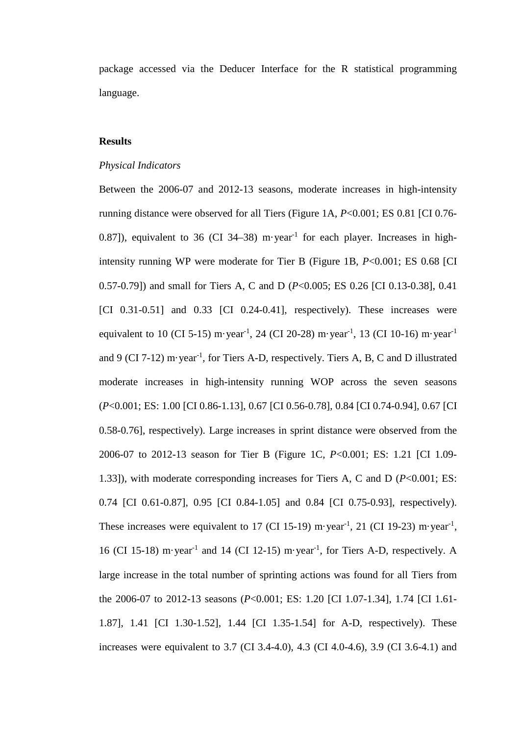package accessed via the Deducer Interface for the R statistical programming language.

# **Results**

#### *Physical Indicators*

Between the 2006-07 and 2012-13 seasons, moderate increases in high-intensity running distance were observed for all Tiers (Figure 1A, *P*<0.001; ES 0.81 [CI 0.76- 0.87]), equivalent to 36 (CI 34–38) m·year<sup>-1</sup> for each player. Increases in highintensity running WP were moderate for Tier B (Figure 1B, *P*<0.001; ES 0.68 [CI 0.57-0.79]) and small for Tiers A, C and D (*P*<0.005; ES 0.26 [CI 0.13-0.38], 0.41 [CI 0.31-0.51] and 0.33 [CI 0.24-0.41], respectively). These increases were equivalent to 10 (CI 5-15) m·year<sup>-1</sup>, 24 (CI 20-28) m·year<sup>-1</sup>, 13 (CI 10-16) m·year<sup>-1</sup> and 9 (CI 7-12) m·year<sup>-1</sup>, for Tiers A-D, respectively. Tiers A, B, C and D illustrated moderate increases in high-intensity running WOP across the seven seasons (*P*<0.001; ES: 1.00 [CI 0.86-1.13], 0.67 [CI 0.56-0.78], 0.84 [CI 0.74-0.94], 0.67 [CI 0.58-0.76], respectively). Large increases in sprint distance were observed from the 2006-07 to 2012-13 season for Tier B (Figure 1C, *P*<0.001; ES: 1.21 [CI 1.09- 1.33]), with moderate corresponding increases for Tiers A, C and D (*P*<0.001; ES: 0.74 [CI 0.61-0.87], 0.95 [CI 0.84-1.05] and 0.84 [CI 0.75-0.93], respectively). These increases were equivalent to 17 (CI 15-19) m·year<sup>-1</sup>, 21 (CI 19-23) m·year<sup>-1</sup>, 16 (CI 15-18) m·year<sup>-1</sup> and 14 (CI 12-15) m·year<sup>-1</sup>, for Tiers A-D, respectively. A large increase in the total number of sprinting actions was found for all Tiers from the 2006-07 to 2012-13 seasons (*P*<0.001; ES: 1.20 [CI 1.07-1.34], 1.74 [CI 1.61- 1.87], 1.41 [CI 1.30-1.52], 1.44 [CI 1.35-1.54] for A-D, respectively). These increases were equivalent to 3.7 (CI 3.4-4.0), 4.3 (CI 4.0-4.6), 3.9 (CI 3.6-4.1) and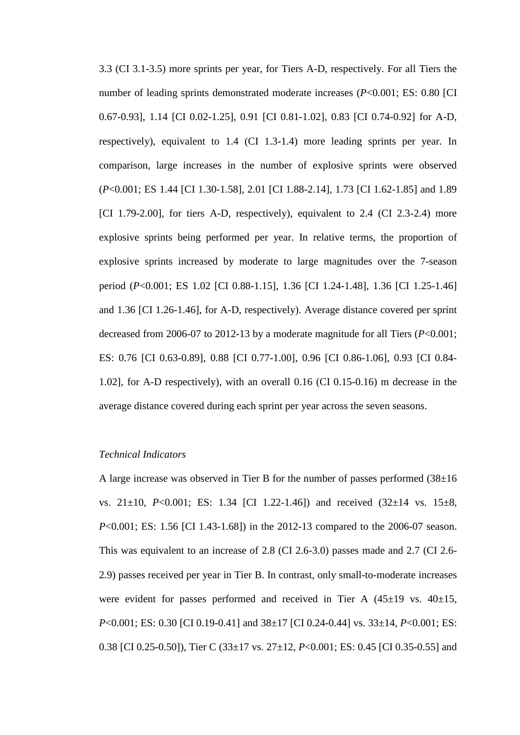3.3 (CI 3.1-3.5) more sprints per year, for Tiers A-D, respectively. For all Tiers the number of leading sprints demonstrated moderate increases ( $P < 0.001$ ; ES: 0.80 [CI] 0.67-0.93], 1.14 [CI 0.02-1.25], 0.91 [CI 0.81-1.02], 0.83 [CI 0.74-0.92] for A-D, respectively), equivalent to 1.4 (CI 1.3-1.4) more leading sprints per year. In comparison, large increases in the number of explosive sprints were observed (*P*<0.001; ES 1.44 [CI 1.30-1.58], 2.01 [CI 1.88-2.14], 1.73 [CI 1.62-1.85] and 1.89 [CI 1.79-2.00], for tiers A-D, respectively), equivalent to 2.4 (CI 2.3-2.4) more explosive sprints being performed per year. In relative terms, the proportion of explosive sprints increased by moderate to large magnitudes over the 7-season period (*P*<0.001; ES 1.02 [CI 0.88-1.15], 1.36 [CI 1.24-1.48], 1.36 [CI 1.25-1.46] and 1.36 [CI 1.26-1.46], for A-D, respectively). Average distance covered per sprint decreased from 2006-07 to 2012-13 by a moderate magnitude for all Tiers (*P*<0.001; ES: 0.76 [CI 0.63-0.89], 0.88 [CI 0.77-1.00], 0.96 [CI 0.86-1.06], 0.93 [CI 0.84- 1.02], for A-D respectively), with an overall 0.16 (CI 0.15-0.16) m decrease in the average distance covered during each sprint per year across the seven seasons.

# *Technical Indicators*

A large increase was observed in Tier B for the number of passes performed  $(38\pm16)$ vs. 21±10, *P*<0.001; ES: 1.34 [CI 1.22-1.46]) and received (32±14 vs. 15±8, *P*<0.001; ES: 1.56 [CI 1.43-1.68]) in the 2012-13 compared to the 2006-07 season. This was equivalent to an increase of 2.8 (CI 2.6-3.0) passes made and 2.7 (CI 2.6- 2.9) passes received per year in Tier B. In contrast, only small-to-moderate increases were evident for passes performed and received in Tier A  $(45\pm19 \text{ vs. } 40\pm15,$ *P*<0.001; ES: 0.30 [CI 0.19-0.41] and 38±17 [CI 0.24-0.44] vs. 33±14, *P*<0.001; ES: 0.38 [CI 0.25-0.50]), Tier C (33±17 vs. 27±12, *P*<0.001; ES: 0.45 [CI 0.35-0.55] and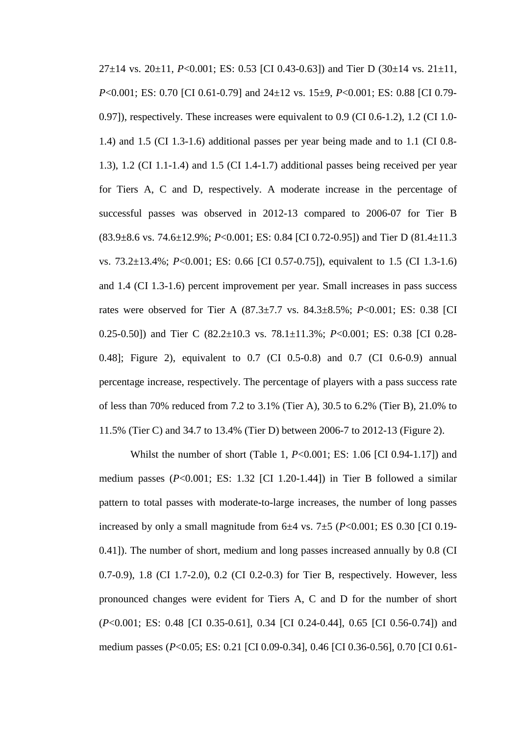$27\pm14$  vs.  $20\pm11$ ,  $P<0.001$ ; ES: 0.53 [CI 0.43-0.63]) and Tier D (30 $\pm14$  vs.  $21\pm11$ , *P*<0.001; ES: 0.70 [CI 0.61-0.79] and 24±12 vs. 15±9, *P*<0.001; ES: 0.88 [CI 0.79- 0.97]), respectively. These increases were equivalent to 0.9 (CI 0.6-1.2), 1.2 (CI 1.0- 1.4) and 1.5 (CI 1.3-1.6) additional passes per year being made and to 1.1 (CI 0.8- 1.3), 1.2 (CI 1.1-1.4) and 1.5 (CI 1.4-1.7) additional passes being received per year for Tiers A, C and D, respectively. A moderate increase in the percentage of successful passes was observed in 2012-13 compared to 2006-07 for Tier B (83.9±8.6 vs. 74.6±12.9%; *P*<0.001; ES: 0.84 [CI 0.72-0.95]) and Tier D (81.4±11.3 vs. 73.2±13.4%; *P*<0.001; ES: 0.66 [CI 0.57-0.75]), equivalent to 1.5 (CI 1.3-1.6) and 1.4 (CI 1.3-1.6) percent improvement per year. Small increases in pass success rates were observed for Tier A (87.3±7.7 vs. 84.3±8.5%; *P*<0.001; ES: 0.38 [CI 0.25-0.50]) and Tier C (82.2±10.3 vs. 78.1±11.3%; *P*<0.001; ES: 0.38 [CI 0.28- 0.48]; Figure 2), equivalent to 0.7 (CI 0.5-0.8) and 0.7 (CI 0.6-0.9) annual percentage increase, respectively. The percentage of players with a pass success rate of less than 70% reduced from 7.2 to 3.1% (Tier A), 30.5 to 6.2% (Tier B), 21.0% to 11.5% (Tier C) and 34.7 to 13.4% (Tier D) between 2006-7 to 2012-13 (Figure 2).

Whilst the number of short (Table 1, *P*<0.001; ES: 1.06 [CI 0.94-1.17]) and medium passes (*P*<0.001; ES: 1.32 [CI 1.20-1.44]) in Tier B followed a similar pattern to total passes with moderate-to-large increases, the number of long passes increased by only a small magnitude from  $6±4$  vs.  $7±5$  ( $P<0.001$ ; ES 0.30 [CI 0.19-0.41]). The number of short, medium and long passes increased annually by 0.8 (CI 0.7-0.9), 1.8 (CI 1.7-2.0), 0.2 (CI 0.2-0.3) for Tier B, respectively. However, less pronounced changes were evident for Tiers A, C and D for the number of short (*P*<0.001; ES: 0.48 [CI 0.35-0.61], 0.34 [CI 0.24-0.44], 0.65 [CI 0.56-0.74]) and medium passes (*P*<0.05; ES: 0.21 [CI 0.09-0.34], 0.46 [CI 0.36-0.56], 0.70 [CI 0.61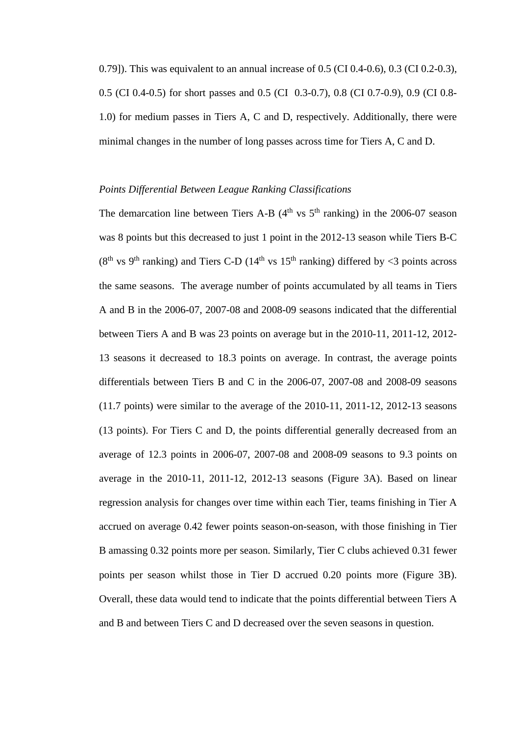0.79]). This was equivalent to an annual increase of 0.5 (CI 0.4-0.6), 0.3 (CI 0.2-0.3), 0.5 (CI 0.4-0.5) for short passes and 0.5 (CI 0.3-0.7), 0.8 (CI 0.7-0.9), 0.9 (CI 0.8- 1.0) for medium passes in Tiers A, C and D, respectively. Additionally, there were minimal changes in the number of long passes across time for Tiers A, C and D.

# *Points Differential Between League Ranking Classifications*

The demarcation line between Tiers A-B  $(4<sup>th</sup>$  vs  $5<sup>th</sup>$  ranking) in the 2006-07 season was 8 points but this decreased to just 1 point in the 2012-13 season while Tiers B-C ( $8<sup>th</sup>$  vs  $9<sup>th</sup>$  ranking) and Tiers C-D ( $14<sup>th</sup>$  vs  $15<sup>th</sup>$  ranking) differed by <3 points across the same seasons. The average number of points accumulated by all teams in Tiers A and B in the 2006-07, 2007-08 and 2008-09 seasons indicated that the differential between Tiers A and B was 23 points on average but in the 2010-11, 2011-12, 2012- 13 seasons it decreased to 18.3 points on average. In contrast, the average points differentials between Tiers B and C in the 2006-07, 2007-08 and 2008-09 seasons (11.7 points) were similar to the average of the 2010-11, 2011-12, 2012-13 seasons (13 points). For Tiers C and D, the points differential generally decreased from an average of 12.3 points in 2006-07, 2007-08 and 2008-09 seasons to 9.3 points on average in the 2010-11, 2011-12, 2012-13 seasons (Figure 3A). Based on linear regression analysis for changes over time within each Tier, teams finishing in Tier A accrued on average 0.42 fewer points season-on-season, with those finishing in Tier B amassing 0.32 points more per season. Similarly, Tier C clubs achieved 0.31 fewer points per season whilst those in Tier D accrued 0.20 points more (Figure 3B). Overall, these data would tend to indicate that the points differential between Tiers A and B and between Tiers C and D decreased over the seven seasons in question.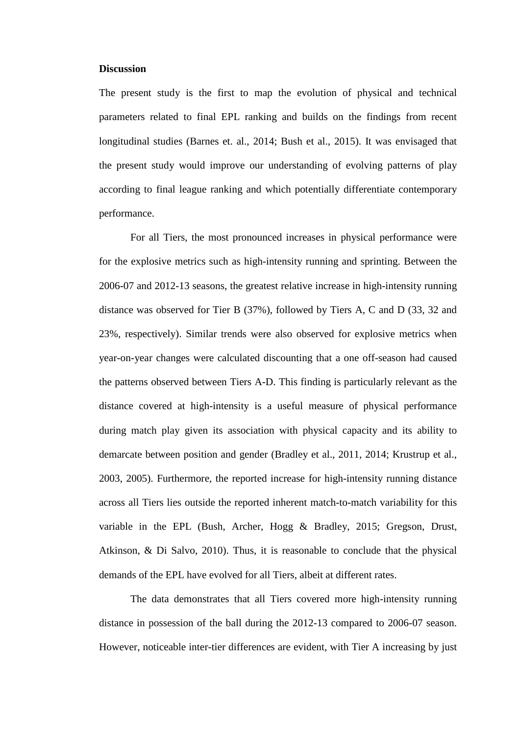#### **Discussion**

The present study is the first to map the evolution of physical and technical parameters related to final EPL ranking and builds on the findings from recent longitudinal studies (Barnes et. al., 2014; Bush et al., 2015). It was envisaged that the present study would improve our understanding of evolving patterns of play according to final league ranking and which potentially differentiate contemporary performance.

For all Tiers, the most pronounced increases in physical performance were for the explosive metrics such as high-intensity running and sprinting. Between the 2006-07 and 2012-13 seasons, the greatest relative increase in high-intensity running distance was observed for Tier B (37%), followed by Tiers A, C and D (33, 32 and 23%, respectively). Similar trends were also observed for explosive metrics when year-on-year changes were calculated discounting that a one off-season had caused the patterns observed between Tiers A-D. This finding is particularly relevant as the distance covered at high-intensity is a useful measure of physical performance during match play given its association with physical capacity and its ability to demarcate between position and gender (Bradley et al., 2011, 2014; Krustrup et al., 2003, 2005). Furthermore, the reported increase for high-intensity running distance across all Tiers lies outside the reported inherent match-to-match variability for this variable in the EPL (Bush, Archer, Hogg & Bradley, 2015; Gregson, Drust, Atkinson, & Di Salvo, 2010). Thus, it is reasonable to conclude that the physical demands of the EPL have evolved for all Tiers, albeit at different rates.

The data demonstrates that all Tiers covered more high-intensity running distance in possession of the ball during the 2012-13 compared to 2006-07 season. However, noticeable inter-tier differences are evident, with Tier A increasing by just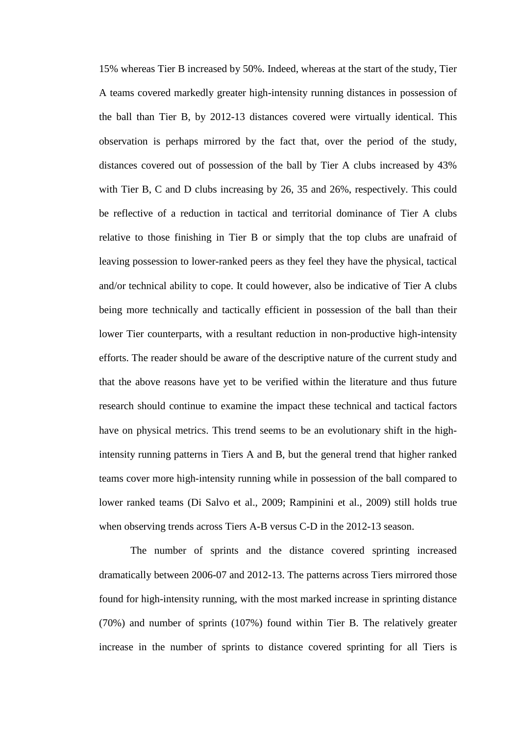15% whereas Tier B increased by 50%. Indeed, whereas at the start of the study, Tier A teams covered markedly greater high-intensity running distances in possession of the ball than Tier B, by 2012-13 distances covered were virtually identical. This observation is perhaps mirrored by the fact that, over the period of the study, distances covered out of possession of the ball by Tier A clubs increased by 43% with Tier B, C and D clubs increasing by 26, 35 and 26%, respectively. This could be reflective of a reduction in tactical and territorial dominance of Tier A clubs relative to those finishing in Tier B or simply that the top clubs are unafraid of leaving possession to lower-ranked peers as they feel they have the physical, tactical and/or technical ability to cope. It could however, also be indicative of Tier A clubs being more technically and tactically efficient in possession of the ball than their lower Tier counterparts, with a resultant reduction in non-productive high-intensity efforts. The reader should be aware of the descriptive nature of the current study and that the above reasons have yet to be verified within the literature and thus future research should continue to examine the impact these technical and tactical factors have on physical metrics. This trend seems to be an evolutionary shift in the highintensity running patterns in Tiers A and B, but the general trend that higher ranked teams cover more high-intensity running while in possession of the ball compared to lower ranked teams (Di Salvo et al., 2009; Rampinini et al., 2009) still holds true when observing trends across Tiers A-B versus C-D in the 2012-13 season.

The number of sprints and the distance covered sprinting increased dramatically between 2006-07 and 2012-13. The patterns across Tiers mirrored those found for high-intensity running, with the most marked increase in sprinting distance (70%) and number of sprints (107%) found within Tier B. The relatively greater increase in the number of sprints to distance covered sprinting for all Tiers is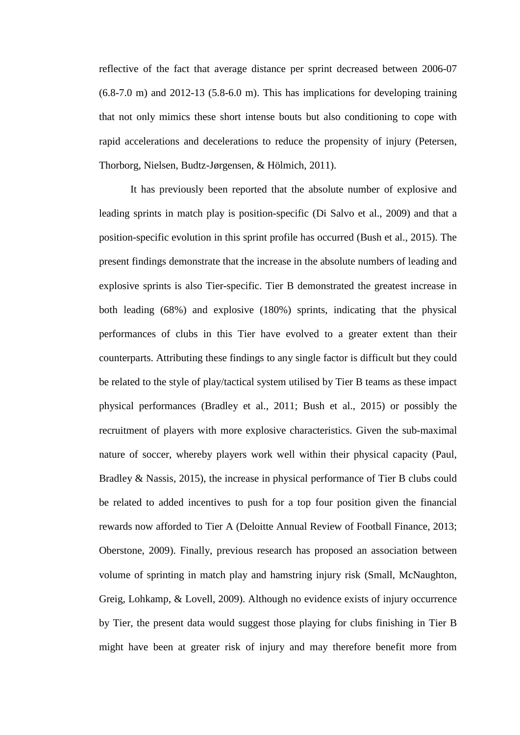reflective of the fact that average distance per sprint decreased between 2006-07  $(6.8-7.0 \text{ m})$  and  $2012-13$   $(5.8-6.0 \text{ m})$ . This has implications for developing training that not only mimics these short intense bouts but also conditioning to cope with rapid accelerations and decelerations to reduce the propensity of injury (Petersen, Thorborg, Nielsen, Budtz-Jørgensen, & Hölmich, 2011).

It has previously been reported that the absolute number of explosive and leading sprints in match play is position-specific (Di Salvo et al., 2009) and that a position-specific evolution in this sprint profile has occurred (Bush et al., 2015). The present findings demonstrate that the increase in the absolute numbers of leading and explosive sprints is also Tier-specific. Tier B demonstrated the greatest increase in both leading (68%) and explosive (180%) sprints, indicating that the physical performances of clubs in this Tier have evolved to a greater extent than their counterparts. Attributing these findings to any single factor is difficult but they could be related to the style of play/tactical system utilised by Tier B teams as these impact physical performances (Bradley et al., 2011; Bush et al., 2015) or possibly the recruitment of players with more explosive characteristics. Given the sub-maximal nature of soccer, whereby players work well within their physical capacity (Paul, Bradley & Nassis, 2015), the increase in physical performance of Tier B clubs could be related to added incentives to push for a top four position given the financial rewards now afforded to Tier A (Deloitte Annual Review of Football Finance, 2013; Oberstone, 2009). Finally, previous research has proposed an association between volume of sprinting in match play and hamstring injury risk (Small, McNaughton, Greig, Lohkamp, & Lovell, 2009). Although no evidence exists of injury occurrence by Tier, the present data would suggest those playing for clubs finishing in Tier B might have been at greater risk of injury and may therefore benefit more from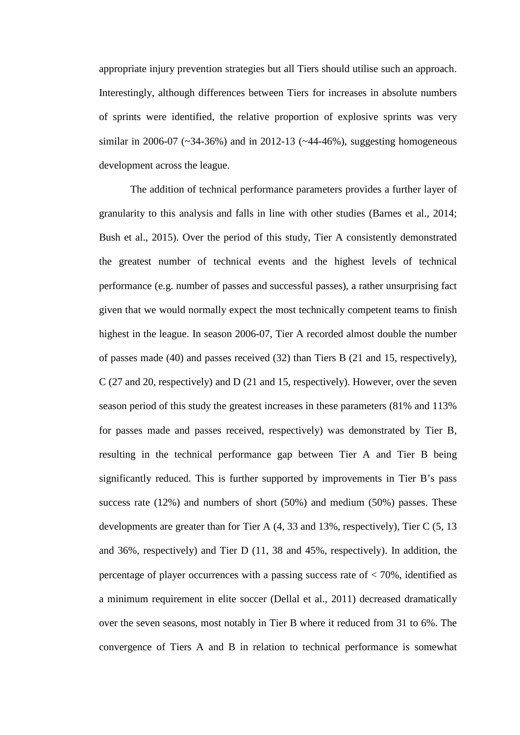appropriate injury prevention strategies but all Tiers should utilise such an approach. Interestingly, although differences between Tiers for increases in absolute numbers of sprints were identified, the relative proportion of explosive sprints was very similar in 2006-07 ( $\sim$ 34-36%) and in 2012-13 ( $\sim$ 44-46%), suggesting homogeneous development across the league.

The addition of technical performance parameters provides a further layer of granularity to this analysis and falls in line with other studies (Barnes et al., 2014; Bush et al., 2015). Over the period of this study, Tier A consistently demonstrated the greatest number of technical events and the highest levels of technical performance (e.g. number of passes and successful passes), a rather unsurprising fact given that we would normally expect the most technically competent teams to finish highest in the league. In season 2006-07, Tier A recorded almost double the number of passes made (40) and passes received (32) than Tiers B (21 and 15, respectively), C (27 and 20, respectively) and D (21 and 15, respectively). However, over the seven season period of this study the greatest increases in these parameters (81% and 113% for passes made and passes received, respectively) was demonstrated by Tier B, resulting in the technical performance gap between Tier A and Tier B being significantly reduced. This is further supported by improvements in Tier B's pass success rate (12%) and numbers of short (50%) and medium (50%) passes. These developments are greater than for Tier A (4, 33 and 13%, respectively), Tier C (5, 13 and 36%, respectively) and Tier D (11, 38 and 45%, respectively). In addition, the percentage of player occurrences with a passing success rate of < 70%, identified as a minimum requirement in elite soccer (Dellal et al., 2011) decreased dramatically over the seven seasons, most notably in Tier B where it reduced from 31 to 6%. The convergence of Tiers A and B in relation to technical performance is somewhat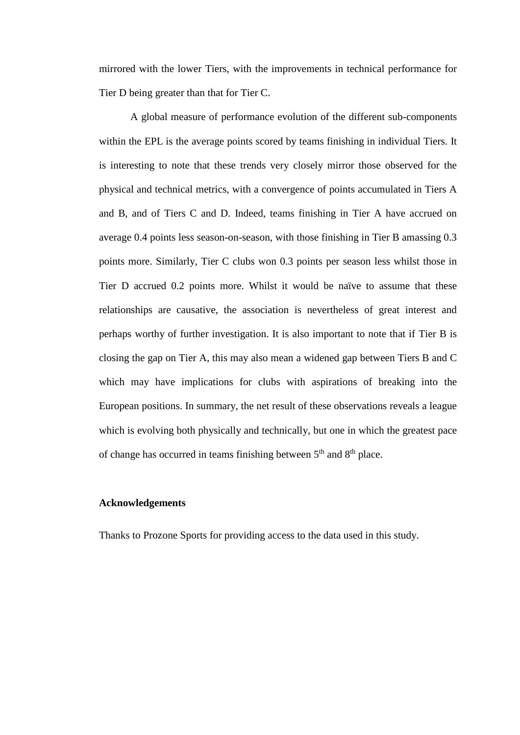mirrored with the lower Tiers, with the improvements in technical performance for Tier D being greater than that for Tier C.

A global measure of performance evolution of the different sub-components within the EPL is the average points scored by teams finishing in individual Tiers. It is interesting to note that these trends very closely mirror those observed for the physical and technical metrics, with a convergence of points accumulated in Tiers A and B, and of Tiers C and D. Indeed, teams finishing in Tier A have accrued on average 0.4 points less season-on-season, with those finishing in Tier B amassing 0.3 points more. Similarly, Tier C clubs won 0.3 points per season less whilst those in Tier D accrued 0.2 points more. Whilst it would be naïve to assume that these relationships are causative, the association is nevertheless of great interest and perhaps worthy of further investigation. It is also important to note that if Tier B is closing the gap on Tier A, this may also mean a widened gap between Tiers B and C which may have implications for clubs with aspirations of breaking into the European positions. In summary, the net result of these observations reveals a league which is evolving both physically and technically, but one in which the greatest pace of change has occurred in teams finishing between  $5<sup>th</sup>$  and  $8<sup>th</sup>$  place.

# **Acknowledgements**

Thanks to Prozone Sports for providing access to the data used in this study.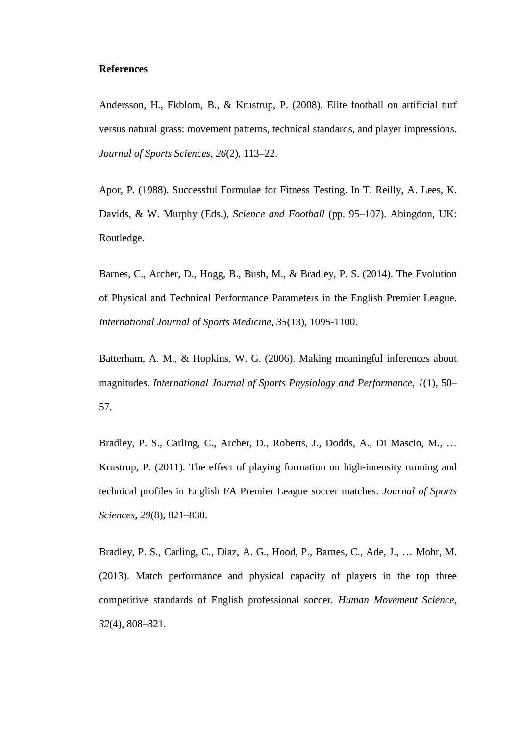#### **References**

Andersson, H., Ekblom, B., & Krustrup, P. (2008). Elite football on artificial turf versus natural grass: movement patterns, technical standards, and player impressions. *Journal of Sports Sciences*, *26*(2), 113–22.

Apor, P. (1988). Successful Formulae for Fitness Testing. In T. Reilly, A. Lees, K. Davids, & W. Murphy (Eds.), *Science and Football* (pp. 95–107). Abingdon, UK: Routledge.

Barnes, C., Archer, D., Hogg, B., Bush, M., & Bradley, P. S. (2014). The Evolution of Physical and Technical Performance Parameters in the English Premier League. *International Journal of Sports Medicine*, *35*(13), 1095-1100.

Batterham, A. M., & Hopkins, W. G. (2006). Making meaningful inferences about magnitudes. *International Journal of Sports Physiology and Performance*, *1*(1), 50– 57.

Bradley, P. S., Carling, C., Archer, D., Roberts, J., Dodds, A., Di Mascio, M., … Krustrup, P. (2011). The effect of playing formation on high-intensity running and technical profiles in English FA Premier League soccer matches. *Journal of Sports Sciences*, *29*(8), 821–830.

Bradley, P. S., Carling, C., Diaz, A. G., Hood, P., Barnes, C., Ade, J., … Mohr, M. (2013). Match performance and physical capacity of players in the top three competitive standards of English professional soccer. *Human Movement Science*, *32*(4), 808–821.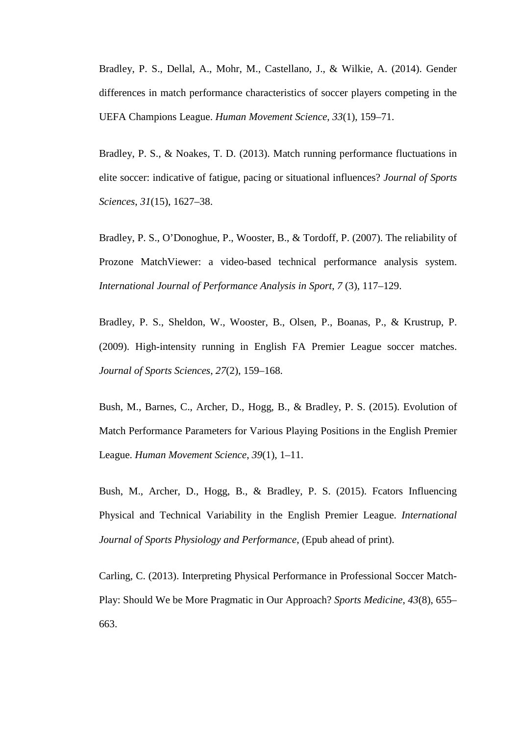Bradley, P. S., Dellal, A., Mohr, M., Castellano, J., & Wilkie, A. (2014). Gender differences in match performance characteristics of soccer players competing in the UEFA Champions League. *Human Movement Science*, *33*(1), 159–71.

Bradley, P. S., & Noakes, T. D. (2013). Match running performance fluctuations in elite soccer: indicative of fatigue, pacing or situational influences? *Journal of Sports Sciences*, *31*(15), 1627–38.

Bradley, P. S., O'Donoghue, P., Wooster, B., & Tordoff, P. (2007). The reliability of Prozone MatchViewer: a video-based technical performance analysis system. *International Journal of Performance Analysis in Sport*, *7* (3), 117–129.

Bradley, P. S., Sheldon, W., Wooster, B., Olsen, P., Boanas, P., & Krustrup, P. (2009). High-intensity running in English FA Premier League soccer matches. *Journal of Sports Sciences*, *27*(2), 159–168.

Bush, M., Barnes, C., Archer, D., Hogg, B., & Bradley, P. S. (2015). Evolution of Match Performance Parameters for Various Playing Positions in the English Premier League. *Human Movement Science*, *39*(1), 1–11.

Bush, M., Archer, D., Hogg, B., & Bradley, P. S. (2015). Fcators Influencing Physical and Technical Variability in the English Premier League. *International Journal of Sports Physiology and Performance*, (Epub ahead of print).

Carling, C. (2013). Interpreting Physical Performance in Professional Soccer Match-Play: Should We be More Pragmatic in Our Approach? *Sports Medicine*, *43*(8), 655– 663.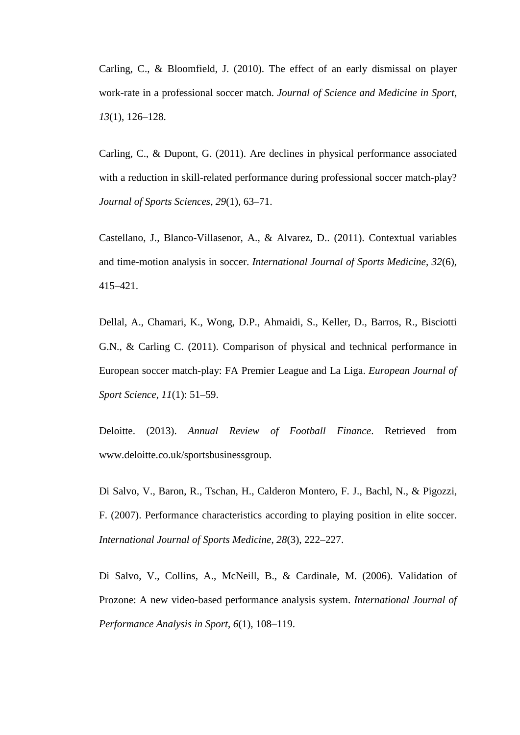Carling, C., & Bloomfield, J. (2010). The effect of an early dismissal on player work-rate in a professional soccer match. *Journal of Science and Medicine in Sport*, *13*(1), 126–128.

Carling, C., & Dupont, G. (2011). Are declines in physical performance associated with a reduction in skill-related performance during professional soccer match-play? *Journal of Sports Sciences*, *29*(1), 63–71.

Castellano, J., Blanco-Villasenor, A., & Alvarez, D.. (2011). Contextual variables and time-motion analysis in soccer. *International Journal of Sports Medicine*, *32*(6), 415–421.

Dellal, A., Chamari, K., Wong, D.P., Ahmaidi, S., Keller, D., Barros, R., Bisciotti G.N., & Carling C. (2011). Comparison of physical and technical performance in European soccer match-play: FA Premier League and La Liga. *European Journal of Sport Science*, *11*(1): 51–59.

Deloitte. (2013). *Annual Review of Football Finance*. Retrieved from www.deloitte.co.uk/sportsbusinessgroup.

Di Salvo, V., Baron, R., Tschan, H., Calderon Montero, F. J., Bachl, N., & Pigozzi, F. (2007). Performance characteristics according to playing position in elite soccer. *International Journal of Sports Medicine*, *28*(3), 222–227.

Di Salvo, V., Collins, A., McNeill, B., & Cardinale, M. (2006). Validation of Prozone: A new video-based performance analysis system. *International Journal of Performance Analysis in Sport*, *6*(1), 108–119.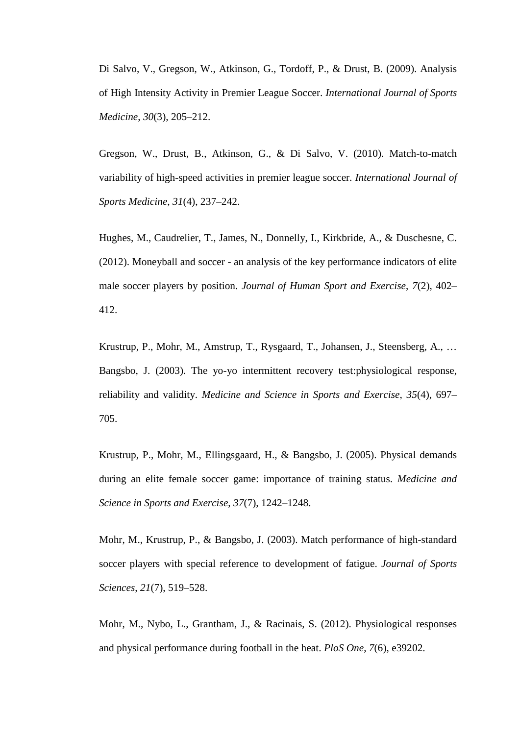Di Salvo, V., Gregson, W., Atkinson, G., Tordoff, P., & Drust, B. (2009). Analysis of High Intensity Activity in Premier League Soccer. *International Journal of Sports Medicine*, *30*(3), 205–212.

Gregson, W., Drust, B., Atkinson, G., & Di Salvo, V. (2010). Match-to-match variability of high-speed activities in premier league soccer. *International Journal of Sports Medicine*, *31*(4), 237–242.

Hughes, M., Caudrelier, T., James, N., Donnelly, I., Kirkbride, A., & Duschesne, C. (2012). Moneyball and soccer - an analysis of the key performance indicators of elite male soccer players by position. *Journal of Human Sport and Exercise*, *7*(2), 402– 412.

Krustrup, P., Mohr, M., Amstrup, T., Rysgaard, T., Johansen, J., Steensberg, A., … Bangsbo, J. (2003). The yo-yo intermittent recovery test:physiological response, reliability and validity. *Medicine and Science in Sports and Exercise*, *35*(4), 697– 705.

Krustrup, P., Mohr, M., Ellingsgaard, H., & Bangsbo, J. (2005). Physical demands during an elite female soccer game: importance of training status. *Medicine and Science in Sports and Exercise*, *37*(7), 1242–1248.

Mohr, M., Krustrup, P., & Bangsbo, J. (2003). Match performance of high-standard soccer players with special reference to development of fatigue. *Journal of Sports Sciences*, *21*(7), 519–528.

Mohr, M., Nybo, L., Grantham, J., & Racinais, S. (2012). Physiological responses and physical performance during football in the heat. *PloS One*, *7*(6), e39202.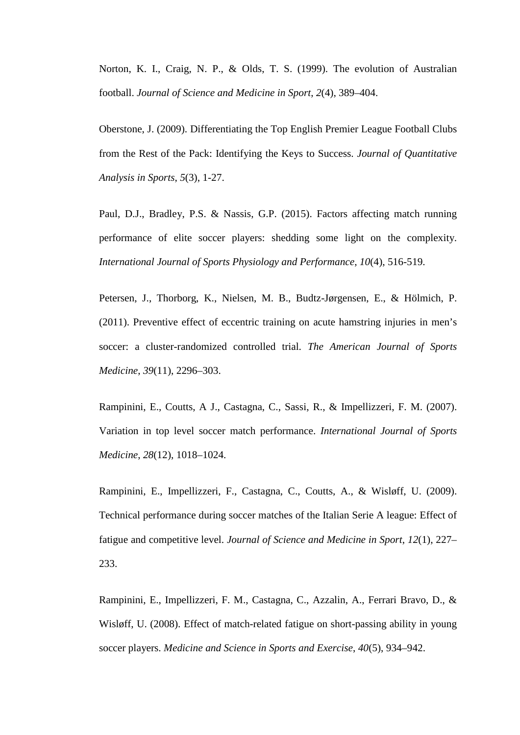Norton, K. I., Craig, N. P., & Olds, T. S. (1999). The evolution of Australian football. *Journal of Science and Medicine in Sport*, *2*(4), 389–404.

Oberstone, J. (2009). Differentiating the Top English Premier League Football Clubs from the Rest of the Pack: Identifying the Keys to Success. *Journal of Quantitative Analysis in Sports*, *5*(3), 1-27.

Paul, D.J., Bradley, P.S. & Nassis, G.P. (2015). Factors affecting match running performance of elite soccer players: shedding some light on the complexity. *International Journal of Sports Physiology and Performance*, *10*(4), 516-519.

Petersen, J., Thorborg, K., Nielsen, M. B., Budtz-Jørgensen, E., & Hölmich, P. (2011). Preventive effect of eccentric training on acute hamstring injuries in men's soccer: a cluster-randomized controlled trial. *The American Journal of Sports Medicine*, *39*(11), 2296–303.

Rampinini, E., Coutts, A J., Castagna, C., Sassi, R., & Impellizzeri, F. M. (2007). Variation in top level soccer match performance. *International Journal of Sports Medicine*, *28*(12), 1018–1024.

Rampinini, E., Impellizzeri, F., Castagna, C., Coutts, A., & Wisløff, U. (2009). Technical performance during soccer matches of the Italian Serie A league: Effect of fatigue and competitive level. *Journal of Science and Medicine in Sport*, *12*(1), 227– 233.

Rampinini, E., Impellizzeri, F. M., Castagna, C., Azzalin, A., Ferrari Bravo, D., & Wisløff, U. (2008). Effect of match-related fatigue on short-passing ability in young soccer players. *Medicine and Science in Sports and Exercise*, *40*(5), 934–942.